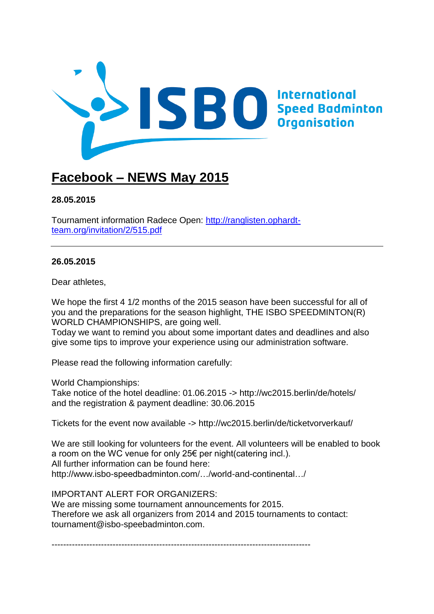

# **Facebook – NEWS May 2015**

## **[28.05.2015](https://www.facebook.com/THE.ISBO/posts/832624793486698)**

Tournament information Radece Open: [http://ranglisten.ophardt](http://ranglisten.ophardt-team.org/invitation/2/515.pdf)[team.org/invitation/2/515.pdf](http://ranglisten.ophardt-team.org/invitation/2/515.pdf)

## **[26.05.2015](https://www.facebook.com/THE.ISBO/posts/831819103567267)**

Dear athletes,

We hope the first 4 1/2 months of the 2015 season have been successful for all of you and the preparations for the season highlight, THE ISBO SPEEDMINTON(R) WORLD CHAMPIONSHIPS, are going well.

Today we want to remind you about some important dates and deadlines and also give some tips to improve your experience using our administration software.

Please read the following information carefully:

World Championships:

Take notice of the hotel deadline: 01.06.2015 -> [http://wc2015.berlin/de/hotels/](http://l.facebook.com/l.php?u=http%3A%2F%2Fwc2015.berlin%2Fde%2Fhotels%2F&h=vAQF5eGX5&enc=AZNBAREMGpZAqZ1sM9KNiz9fOM8cUWn4zk7LrZO5FM39FbFJNKpesYip-8UBxr8YiConbrJjP2GAtCtViytvf-gXp3d3YTrqzBYlp8eyUXgCkhfFQxeY8ChQfHgS2GE-wWRa-J3bp3wO9_y8d9e8iCl__CM4oZ3jJxz3azskW2XoIPEfn67gDbi0qCEUrLQ56GqWo3FvvPIpk247_GtD0MXO&s=1) and the registration & payment deadline: 30.06.2015

Tickets for the event now available -><http://wc2015.berlin/de/ticketvorverkauf/>

We are still looking for volunteers for the event. All volunteers will be enabled to book a room on the WC venue for only 25€ per night(catering incl.). All further information can be found here: [http://www.isbo-speedbadminton.com/…/world-and-continental…/](http://www.isbo-speedbadminton.com/sport/world-and-continental-championships/)

IMPORTANT ALERT FOR ORGANIZERS:

We are missing some tournament announcements for 2015. Therefore we ask all organizers from 2014 and 2015 tournaments to contact: tournament@isbo-speebadminton.com.

-----------------------------------------------------------------------------------------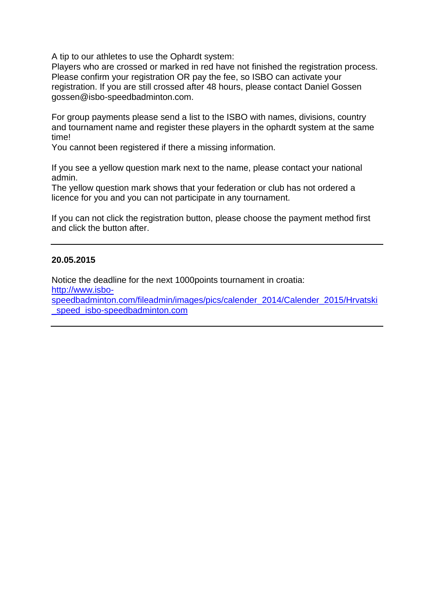A tip to our athletes to use the Ophardt system:

Players who are crossed or marked in red have not finished the registration process. Please confirm your registration OR pay the fee, so ISBO can activate your registration. If you are still crossed after 48 hours, please contact Daniel Gossen gossen@isbo-speedbadminton.com.

For group payments please send a list to the ISBO with names, divisions, country and tournament name and register these players in the ophardt system at the same time!

You cannot been registered if there a missing information.

If you see a yellow question mark next to the name, please contact your national admin.

The yellow question mark shows that your federation or club has not ordered a licence for you and you can not participate in any tournament.

If you can not click the registration button, please choose the payment method first and click the button after.

## **[20.05.2015](https://www.facebook.com/THE.ISBO/posts/829445110471333)**

Notice the deadline for the next 1000points tournament in croatia: [http://www.isbo](http://www.isbo-speedbadminton.com/fileadmin/images/pics/calender_2014/Calender_2015/Hrvatski_speed_isbo-speedbadminton.com)[speedbadminton.com/fileadmin/images/pics/calender\\_2014/Calender\\_2015/Hrvatski](http://www.isbo-speedbadminton.com/fileadmin/images/pics/calender_2014/Calender_2015/Hrvatski_speed_isbo-speedbadminton.com) speed\_isbo-speedbadminton.com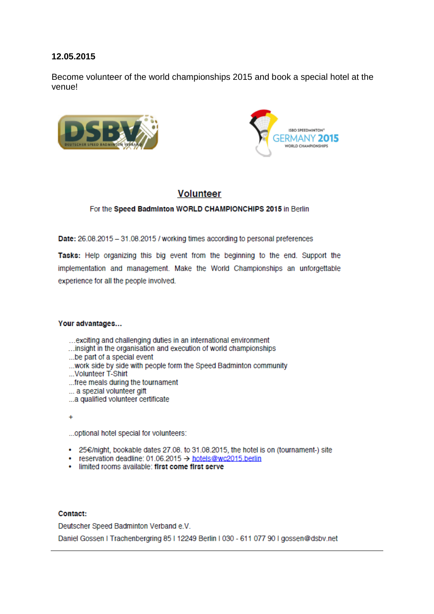Become volunteer of the world championships 2015 and book a special hotel at the venuel





## **Volunteer**

#### For the Speed Badminton WORLD CHAMPIONCHIPS 2015 in Berlin

Date: 26.08.2015 - 31.08.2015 / working times according to personal preferences

Tasks: Help organizing this big event from the beginning to the end. Support the implementation and management. Make the World Championships an unforgettable experience for all the people involved.

#### Your advantages...

- ... exciting and challenging duties in an international environment
- ...insight in the organisation and execution of world championships
- ... be part of a special event
- ... work side by side with people form the Speed Badminton community
- ...Volunteer T-Shirt
- ... free meals during the tournament
- ... a spezial volunteer gift
- ...a qualified volunteer certificate
- $\ddotmark$

...optional hotel special for volunteers:

- 25€/night, bookable dates 27.08. to 31.08.2015, the hotel is on (tournament-) site
- reservation deadline: 01.06.2015 → hotels@wc2015.berlin
- · limited rooms available: first come first serve

#### Contact:

Deutscher Speed Badminton Verband e.V.

Daniel Gossen I Trachenbergring 85 | 12249 Berlin | 030 - 611 077 90 | gossen@dsbv.net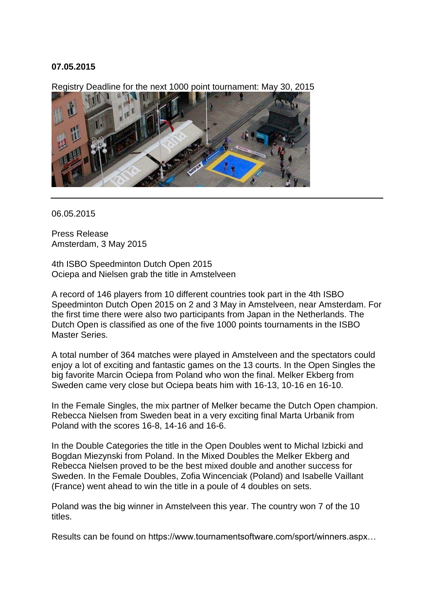Registry Deadline for the next 1000 point tournament: May 30, 2015



06.05.2015

Press Release Amsterdam, 3 May 2015

4th ISBO Speedminton Dutch Open 2015 Ociepa and Nielsen grab the title in Amstelveen

A record of 146 players from 10 different countries took part in the 4th ISBO Speedminton Dutch Open 2015 on 2 and 3 May in Amstelveen, near Amsterdam. For the first time there were also two participants from Japan in the Netherlands. The Dutch Open is classified as one of the five 1000 points tournaments in the ISBO Master Series.

A total number of 364 matches were played in Amstelveen and the spectators could enjoy a lot of exciting and fantastic games on the 13 courts. In the Open Singles the big favorite Marcin Ociepa from Poland who won the final. Melker Ekberg from Sweden came very close but Ociepa beats him with 16-13, 10-16 en 16-10.

In the Female Singles, the mix partner of Melker became the Dutch Open champion. Rebecca Nielsen from Sweden beat in a very exciting final Marta Urbanik from Poland with the scores 16-8, 14-16 and 16-6.

In the Double Categories the title in the Open Doubles went to Michal Izbicki and Bogdan Miezynski from Poland. In the Mixed Doubles the Melker Ekberg and Rebecca Nielsen proved to be the best mixed double and another success for Sweden. In the Female Doubles, Zofia Wincenciak (Poland) and Isabelle Vaillant (France) went ahead to win the title in a poule of 4 doubles on sets.

Poland was the big winner in Amstelveen this year. The country won 7 of the 10 titles.

Results can be found on [https://www.tournamentsoftware.com/sport/winners.aspx…](https://www.tournamentsoftware.com/sport/winners.aspx?id=17055001-787F-4C79-89BC-663B8D07DE72)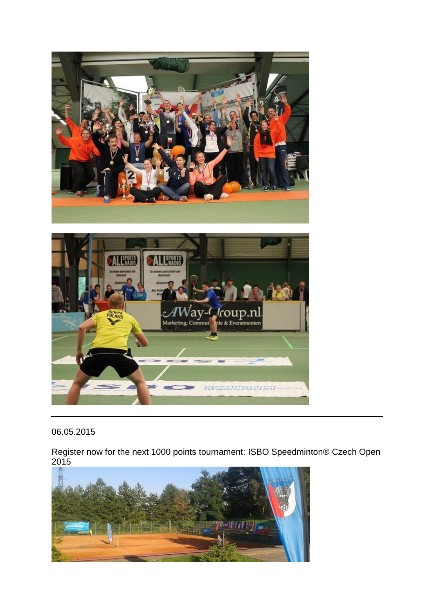



Register now for the next 1000 points tournament: ISBO Speedminton® Czech Open 2015